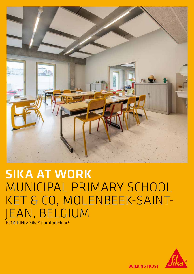

# SIKA AT WORK MUNICIPAL PRIMARY SCHOOL KET & CO, MOLENBEEK-SAINT-JEAN, BELGIUM FLOORING: Sika® ComfortFloor®



**BUILDING TRUST**